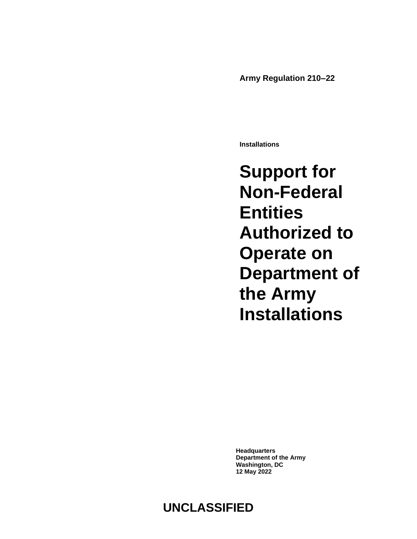**Army Regulation 210–22**

**Installations**

**Support for Non-Federal Entities Authorized to Operate on Department of the Army Installations**

**Headquarters Department of the Army Washington, DC 12 May 2022**

# **UNCLASSIFIED**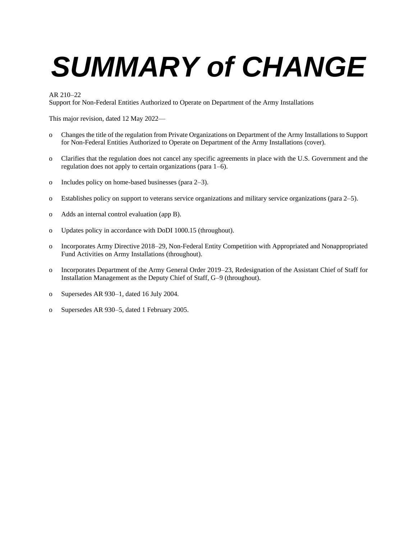# *SUMMARY of CHANGE*

#### AR 210–22

Support for Non-Federal Entities Authorized to Operate on Department of the Army Installations

This major revision, dated 12 May 2022—

- o Changes the title of the regulation from Private Organizations on Department of the Army Installations to Support for Non-Federal Entities Authorized to Operate on Department of the Army Installations (cover).
- o Clarifies that the regulation does not cancel any specific agreements in place with the U.S. Government and the regulation does not apply to certain organizations [\(para 1–6\)](#page-5-0).
- o Includes policy on home-based businesses [\(para 2–3\)](#page-7-0).
- o Establishes policy on support to veterans service organizations and military service organizations [\(para 2–5\)](#page-8-0).
- o Adds an internal control evaluation [\(app B\)](#page-17-0).
- o Updates policy in accordance with DoDI 1000.15 (throughout).
- o Incorporates Army Directive 2018–29, Non-Federal Entity Competition with Appropriated and Nonappropriated Fund Activities on Army Installations (throughout).
- o Incorporates Department of the Army General Order 2019–23, Redesignation of the Assi*s*tant Chief of Staff for Installation Management as the Deputy Chief of Staff, G–9 (throughout).
- o Supersedes AR 930–1, dated 16 July 2004.
- o Supersedes AR 930–5, dated 1 February 2005.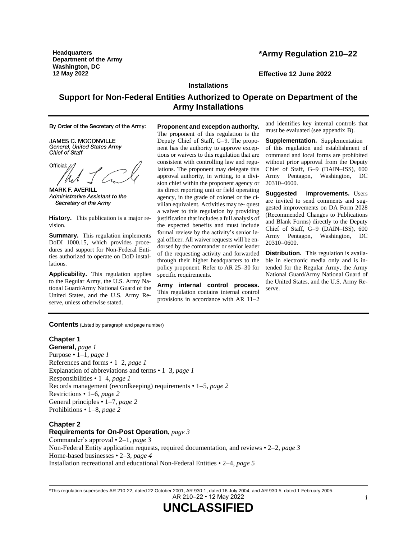**Headquarters Department of the Army Washington, DC 12 May 2022 Effective 12 June 2022**

# **\*Army Regulation 210–22**

#### **Installations**

# **Support for Non-Federal Entities Authorized to Operate on Department of the Army Installations**

By Order of the Secretary of the Army:

JAMES C. MCCONVILLE General, United States Army Chief of Staff

Official:

**MARK F. AVERILL** Administrative Assistant to the Secretary of the Army

**History.** This publication is a major revision.

**Summary.** This regulation implements DoDI 1000.15, which provides procedures and support for Non-Federal Entities authorized to operate on DoD installations.

**Applicability.** This regulation applies to the Regular Army, the U.S. Army National Guard/Army National Guard of the United States, and the U.S. Army Reserve, unless otherwise stated.

**Proponent and exception authority.** The proponent of this regulation is the Deputy Chief of Staff, G–9. The proponent has the authority to approve exceptions or waivers to this regulation that are consistent with controlling law and regulations. The proponent may delegate this approval authority, in writing, to a division chief within the proponent agency or its direct reporting unit or field operating agency, in the grade of colonel or the civilian equivalent. Activities may re- quest a waiver to this regulation by providing justification that includes a full analysis of the expected benefits and must include formal review by the activity's senior legal officer. All waiver requests will be endorsed by the commander or senior leader of the requesting activity and forwarded through their higher headquarters to the policy proponent. Refer to AR 25–30 for specific requirements.

**Army internal control process.** This regulation contains internal control provisions in accordance with AR 11–2

and identifies key internal controls that must be evaluated (see [appendix](#page-17-0) B).

**Supplementation.** Supplementation of this regulation and establishment of command and local forms are prohibited without prior approval from the Deputy Chief of Staff, G–9 (DAIN–ISS), 600 Army Pentagon, Washington, DC 20310–0600.

**Suggested improvements.** Users are invited to send comments and suggested improvements on DA Form 2028 (Recommended Changes to Publications and Blank Forms) directly to the Deputy Chief of Staff, G–9 (DAIN–ISS), 600 Army Pentagon, Washington, DC 20310–0600.

**Distribution.** This regulation is available in electronic media only and is intended for the Regular Army, the Army National Guard/Army National Guard of the United States, and the U.S. Army Reserve.

**Contents** (Listed by paragraph and page number)

# **Chapter 1**

**General,** *page [1](#page-4-0)* Purpose • 1–1, *page [1](#page-4-1)* References and forms • 1–2, *page [1](#page-4-2)* Explanation of abbreviations and terms • 1–3, *page [1](#page-4-3)* Responsibilities • 1–4, *page [1](#page-4-4)* Records management (recordkeeping) requirements • 1–5, *page [2](#page-5-1)* Restrictions • 1–6, *page [2](#page-5-0)* General principles • 1–7, *page [2](#page-5-2)* Prohibitions • 1–8, *page [2](#page-5-3)*

# **Chapter 2**

#### **Requirements for On-Post Operation,** *page [3](#page-6-0)*

Commander's approval • 2–1, *page [3](#page-6-1)* Non-Federal Entity application requests, required documentation, and reviews • 2–2, *page [3](#page-6-2)* Home-based businesses • 2–3, *page [4](#page-7-0)* Installation recreational and educational Non-Federal Entities • 2–4, *page [5](#page-8-1)*

\*This regulation supersedes AR 210-22, dated 22 October 2001, AR 930-1, dated 16 July 2004, and AR 930-5, dated 1 February 2005.

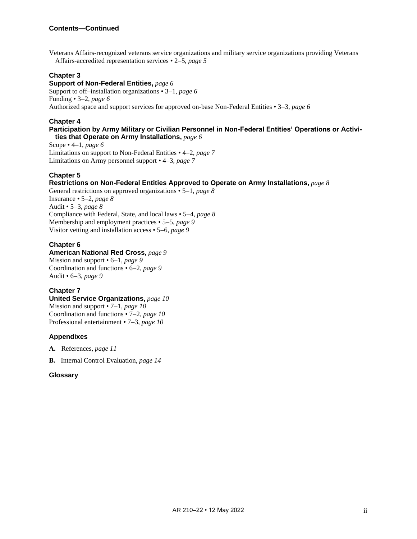# **Contents—Continued**

Veterans Affairs-recognized veterans service organizations and military service organizations providing Veterans Affairs-accredited representation services • 2–5, *page [5](#page-8-0)*

# **Chapter 3**

**Support of Non-Federal Entities,** *page [6](#page-9-0)* Support to off–installation organizations • 3–1, *page [6](#page-9-1)* Funding • 3–2, *page [6](#page-9-2)* Authorized space and support services for approved on-base Non-Federal Entities • 3–3, *page [6](#page-9-3)*

# **Chapter 4**

#### **Participation by Army Military or Civilian Personnel in Non-Federal Entities' Operations or Activities that Operate on Army Installations,** *page [6](#page-9-4)*

Scope • 4–1, *page [6](#page-9-5)* Limitations on support to Non-Federal Entities • 4–2, *page [7](#page-10-0)* Limitations on Army personnel support • 4–3, *page [7](#page-10-1)*

# **Chapter 5**

# **Restrictions on Non-Federal Entities Approved to Operate on Army Installations,** *page [8](#page-11-0)*

General restrictions on approved organizations • 5–1, *page [8](#page-11-1)* Insurance • 5–2, *page [8](#page-11-2)* Audit • 5–3, *page [8](#page-11-3)* Compliance with Federal, State, and local laws • 5–4, *page [8](#page-11-4)* Membership and employment practices • 5–5, *page [9](#page-12-0)* Visitor vetting and installation access • 5–6, *page [9](#page-12-1)*

# **Chapter 6**

# **American National Red Cross,** *page [9](#page-12-2)*

Mission and support • 6–1, *page [9](#page-12-3)* Coordination and functions • 6–2, *page [9](#page-12-4)* Audit • 6–3, *page [9](#page-12-5)*

# **Chapter 7**

# **United Service Organizations,** *page [10](#page-13-0)*

Mission and support • 7–1, *page [10](#page-13-1)* Coordination and functions • 7–2, *page [10](#page-13-2)* Professional entertainment • 7–3, *page [10](#page-13-3)*

#### **Appendixes**

**A.** References, *page [11](#page-14-0)*

**B.** Internal Control Evaluation, *page [14](#page-17-0)*

#### **Glossary**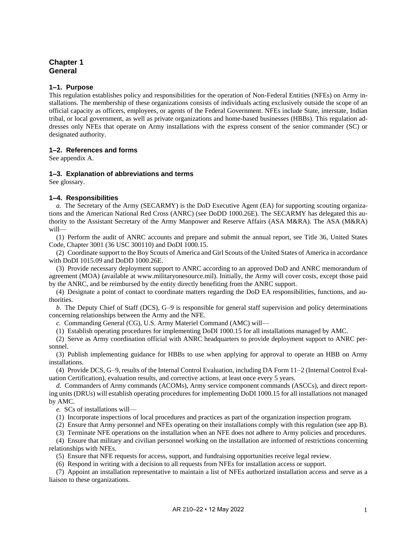# <span id="page-4-0"></span>**Chapter 1 General**

#### <span id="page-4-1"></span>**1–1. Purpose**

This regulation establishes policy and responsibilities for the operation of Non-Federal Entities (NFEs) on Army installations. The membership of these organizations consists of individuals acting exclusively outside the scope of an official capacity as officers, employees, or agents of the Federal Government. NFEs include State, interstate, Indian tribal, or local government, as well as private organizations and home-based businesses (HBBs). This regulation addresses only NFEs that operate on Army installations with the express consent of the senior commander (SC) or designated authority.

#### <span id="page-4-2"></span>**1–2. References and forms**

<span id="page-4-3"></span>See [appendix A.](#page-14-0)

# **1–3. Explanation of abbreviations and terms**

<span id="page-4-4"></span>See [glossary.](#page-18-0)

#### **1–4. Responsibilities**

<span id="page-4-5"></span>*a.* The Secretary of the Army (SECARMY) is the DoD Executive Agent (EA) for supporting scouting organizations and the American National Red Cross (ANRC) (see DoDD 1000.26E). The SECARMY has delegated this authority to the Assistant Secretary of the Army Manpower and Reserve Affairs (ASA M&RA). The ASA (M&RA) will—

(1) Perform the audit of ANRC accounts and prepare and submit the annual report, see Title 36, United States Code, Chapter 3001 (36 USC 300110) and DoDI 1000.15.

<span id="page-4-6"></span>(2) Coordinate support to the Boy Scouts of America and Girl Scouts of the United States of America in accordance with DoDI 1015.09 and DoDD 1000.26E.

(3) Provide necessary deployment support to ANRC according to an approved DoD and ANRC memorandum of agreement (MOA) (available at [www.militaryonesource.mil\)](http://www.militaryonesource.mil/). Initially, the Army will cover costs, except those paid by the ANRC, and be reimbursed by the entity directly benefiting from the ANRC support.

(4) Designate a point of contact to coordinate matters regarding the DoD EA responsibilities, functions, and authorities.

*b.* The Deputy Chief of Staff (DCS), G–9 is responsible for general staff supervision and policy determinations concerning relationships between the Army and the NFE.

*c.* Commanding General (CG), U.S. Army Materiel Command (AMC) will—

(1) Establish operating procedures for implementing DoDI 1000.15 for all installations managed by AMC.

(2) Serve as Army coordination official with ANRC headquarters to provide deployment support to ANRC personnel.

(3) Publish implementing guidance for HBBs to use when applying for approval to operate an HBB on Army installations.

(4) Provide DCS, G–9, results of the Internal Control Evaluation, including DA Form 11–2 (Internal Control Evaluation Certification), evaluation results, and corrective actions, at least once every 5 years.

*d.* Commanders of Army commands (ACOMs), Army service component commands (ASCCs), and direct reporting units (DRUs) will establish operating procedures for implementing DoDI 1000.15 for all installations not managed by AMC.

*e.* SCs of installations will—

(1) Incorporate inspections of local procedures and practices as part of the organization inspection program.

(2) Ensure that Army personnel and NFEs operating on their installations comply with this regulation (se[e app](#page-17-0) B).

(3) Terminate NFE operations on the installation when an NFE does not adhere to Army policies and procedures.

(4) Ensure that military and civilian personnel working on the installation are informed of restrictions concerning relationships with NFEs.

(5) Ensure that NFE requests for access, support, and fundraising opportunities receive legal review.

(6) Respond in writing with a decision to all requests from NFEs for installation access or support.

(7) Appoint an installation representative to maintain a list of NFEs authorized installation access and serve as a liaison to these organizations.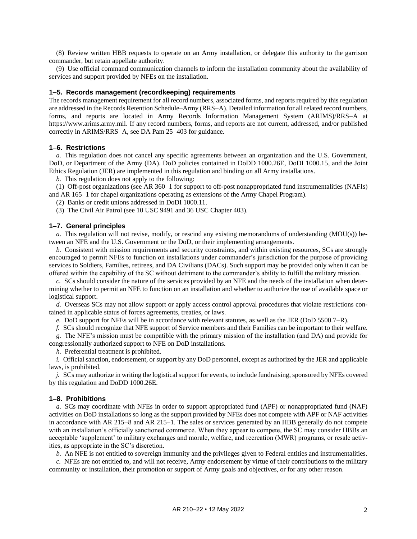(8) Review written HBB requests to operate on an Army installation, or delegate this authority to the garrison commander, but retain appellate authority.

(9) Use official command communication channels to inform the installation community about the availability of services and support provided by NFEs on the installation.

#### <span id="page-5-1"></span>**1–5. Records management (recordkeeping) requirements**

The records management requirement for all record numbers, associated forms, and reports required by this regulation are addressed in the Records Retention Schedule–Army (RRS–A). Detailed information for all related record numbers, forms, and reports are located in Army Records Information Management System (ARIMS)/RRS–A at [https://www.arims.army.mil.](https://www.arims.army.mil/) If any record numbers, forms, and reports are not current, addressed, and/or published correctly in ARIMS/RRS–A, see DA Pam 25–403 for guidance.

#### <span id="page-5-0"></span>**1–6. Restrictions**

*a.* This regulation does not cancel any specific agreements between an organization and the U.S. Government, DoD, or Department of the Army (DA). DoD policies contained in DoDD 1000.26E, DoDI 1000.15, and the Joint Ethics Regulation (JER) are implemented in this regulation and binding on all Army installations.

*b.* This regulation does not apply to the following:

<span id="page-5-4"></span>(1) Off-post organizations (see AR 360–1 for support to off-post nonappropriated fund instrumentalities (NAFIs) and AR 165–1 for chapel organizations operating as extensions of the Army Chapel Program).

(2) Banks or credit unions addressed in DoDI 1000.11.

(3) The Civil Air Patrol (see 10 USC 9491 and 36 USC Chapter 403).

#### <span id="page-5-2"></span>**1–7. General principles**

*a.* This regulation will not revise, modify, or rescind any existing memorandums of understanding (MOU(s)) between an NFE and the U.S. Government or the DoD, or their implementing arrangements.

*b.* Consistent with mission requirements and security constraints, and within existing resources, SCs are strongly encouraged to permit NFEs to function on installations under commander's jurisdiction for the purpose of providing services to Soldiers, Families, retirees, and DA Civilians (DACs). Such support may be provided only when it can be offered within the capability of the SC without detriment to the commander's ability to fulfill the military mission.

*c.* SCs should consider the nature of the services provided by an NFE and the needs of the installation when determining whether to permit an NFE to function on an installation and whether to authorize the use of available space or logistical support.

*d.* Overseas SCs may not allow support or apply access control approval procedures that violate restrictions contained in applicable status of forces agreements, treaties, or laws.

<span id="page-5-6"></span>*e.* DoD support for NFEs will be in accordance with relevant statutes, as well as the JER (DoD 5500.7–R).

*f.* SCs should recognize that NFE support of Service members and their Families can be important to their welfare.

*g.* The NFE's mission must be compatible with the primary mission of the installation (and DA) and provide for congressionally authorized support to NFE on DoD installations.

*h.* Preferential treatment is prohibited.

*i.* Official sanction, endorsement, or support by any DoD personnel, except as authorized by the JER and applicable laws, is prohibited.

*j.* SCs may authorize in writing the logistical support for events, to include fundraising, sponsored by NFEs covered by this regulation and DoDD 1000.26E.

#### <span id="page-5-3"></span>**1–8. Prohibitions**

<span id="page-5-5"></span>*a.* SCs may coordinate with NFEs in order to support appropriated fund (APF) or nonappropriated fund (NAF) activities on DoD installations so long as the support provided by NFEs does not compete with APF or NAF activities in accordance with AR 215–8 and AR 215–1. The sales or services generated by an HBB generally do not compete with an installation's officially sanctioned commerce. When they appear to compete, the SC may consider HBBs an acceptable 'supplement' to military exchanges and morale, welfare, and recreation (MWR) programs, or resale activities, as appropriate in the SC's discretion.

*b.* An NFE is not entitled to sovereign immunity and the privileges given to Federal entities and instrumentalities.

*c.* NFEs are not entitled to, and will not receive, Army endorsement by virtue of their contributions to the military community or installation, their promotion or support of Army goals and objectives, or for any other reason.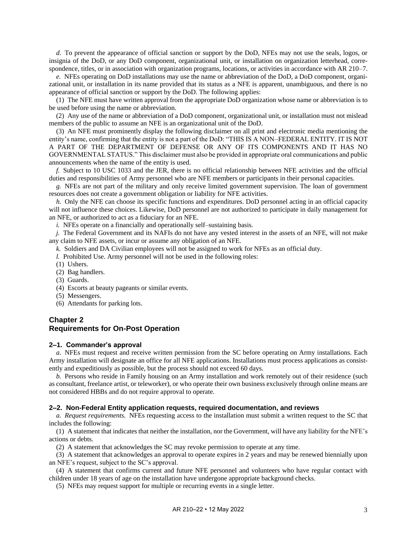*d.* To prevent the appearance of official sanction or support by the DoD, NFEs may not use the seals, logos, or insignia of the DoD, or any DoD component, organizational unit, or installation on organization letterhead, correspondence, titles, or in association with organization programs, locations, or activities in accordance with AR 210–7.

*e.* NFEs operating on DoD installations may use the name or abbreviation of the DoD, a DoD component, organizational unit, or installation in its name provided that its status as a NFE is apparent, unambiguous, and there is no appearance of official sanction or support by the DoD. The following applies:

(1) The NFE must have written approval from the appropriate DoD organization whose name or abbreviation is to be used before using the name or abbreviation.

(2) Any use of the name or abbreviation of a DoD component, organizational unit, or installation must not mislead members of the public to assume an NFE is an organizational unit of the DoD.

(3) An NFE must prominently display the following disclaimer on all print and electronic media mentioning the entity's name, confirming that the entity is not a part of the DoD: "THIS IS A NON–FEDERAL ENTITY. IT IS NOT A PART OF THE DEPARTMENT OF DEFENSE OR ANY OF ITS COMPONENTS AND IT HAS NO GOVERNMENTAL STATUS." This disclaimer must also be provided in appropriate oral communications and public announcements when the name of the entity is used.

*f.* Subject to 10 USC 1033 and the JER, there is no official relationship between NFE activities and the official duties and responsibilities of Army personnel who are NFE members or participants in their personal capacities.

*g.* NFEs are not part of the military and only receive limited government supervision. The loan of government resources does not create a government obligation or liability for NFE activities.

*h.* Only the NFE can choose its specific functions and expenditures. DoD personnel acting in an official capacity will not influence these choices. Likewise, DoD personnel are not authorized to participate in daily management for an NFE, or authorized to act as a fiduciary for an NFE.

*i.* NFEs operate on a financially and operationally self–sustaining basis.

*j.* The Federal Government and its NAFIs do not have any vested interest in the assets of an NFE, will not make any claim to NFE assets, or incur or assume any obligation of an NFE.

*k.* Soldiers and DA Civilian employees will not be assigned to work for NFEs as an official duty.

*l.* Prohibited Use. Army personnel will not be used in the following roles:

- (1) Ushers.
- (2) Bag handlers.
- (3) Guards.
- (4) Escorts at beauty pageants or similar events.
- (5) Messengers.
- (6) Attendants for parking lots.

#### <span id="page-6-0"></span>**Chapter 2 Requirements for On-Post Operation**

#### <span id="page-6-1"></span>**2–1. Commander's approval**

*a.* NFEs must request and receive written permission from the SC before operating on Army installations. Each Army installation will designate an office for all NFE applications. Installations must process applications as consistently and expeditiously as possible, but the process should not exceed 60 days.

*b.* Persons who reside in Family housing on an Army installation and work remotely out of their residence (such as consultant, freelance artist, or teleworker), or who operate their own business exclusively through online means are not considered HBBs and do not require approval to operate.

#### <span id="page-6-2"></span>**2–2. Non-Federal Entity application requests, required documentation, and reviews**

*a. Request requirements.* NFEs requesting access to the installation must submit a written request to the SC that includes the following:

(1) A statement that indicates that neither the installation, nor the Government, will have any liability for the NFE's actions or debts.

(2) A statement that acknowledges the SC may revoke permission to operate at any time.

(3) A statement that acknowledges an approval to operate expires in 2 years and may be renewed biennially upon an NFE's request, subject to the SC's approval.

(4) A statement that confirms current and future NFE personnel and volunteers who have regular contact with children under 18 years of age on the installation have undergone appropriate background checks.

(5) NFEs may request support for multiple or recurring events in a single letter.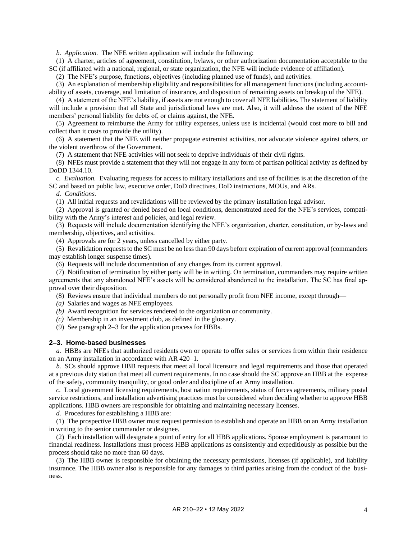*b. Application.* The NFE written application will include the following:

(1) A charter, articles of agreement, constitution, bylaws, or other authorization documentation acceptable to the SC (if affiliated with a national, regional, or state organization, the NFE will include evidence of affiliation).

(2) The NFE's purpose, functions, objectives (including planned use of funds), and activities.

(3) An explanation of membership eligibility and responsibilities for all management functions (including accountability of assets, coverage, and limitation of insurance, and disposition of remaining assets on breakup of the NFE).

(4) A statement of the NFE's liability, if assets are not enough to cover all NFE liabilities. The statement of liability will include a provision that all State and jurisdictional laws are met. Also, it will address the extent of the NFE members' personal liability for debts of, or claims against, the NFE.

(5) Agreement to reimburse the Army for utility expenses, unless use is incidental (would cost more to bill and collect than it costs to provide the utility).

(6) A statement that the NFE will neither propagate extremist activities, nor advocate violence against others, or the violent overthrow of the Government.

(7) A statement that NFE activities will not seek to deprive individuals of their civil rights.

(8) NFEs must provide a statement that they will not engage in any form of partisan political activity as defined by DoDD 1344.10.

*c. Evaluation.* Evaluating requests for access to military installations and use of facilities is at the discretion of the SC and based on public law, executive order, DoD directives, DoD instructions, MOUs, and ARs.

*d. Conditions.*

(1) All initial requests and revalidations will be reviewed by the primary installation legal advisor.

(2) Approval is granted or denied based on local conditions, demonstrated need for the NFE's services, compatibility with the Army's interest and policies, and legal review.

(3) Requests will include documentation identifying the NFE's organization, charter, constitution, or by-laws and membership, objectives, and activities.

(4) Approvals are for 2 years, unless cancelled by either party.

(5) Revalidation requests to the SC must be no less than 90 days before expiration of current approval (commanders may establish longer suspense times).

(6) Requests will include documentation of any changes from its current approval.

(7) Notification of termination by either party will be in writing. On termination, commanders may require written agreements that any abandoned NFE's assets will be considered abandoned to the installation. The SC has final approval over their disposition.

(8) Reviews ensure that individual members do not personally profit from NFE income, except through—

*(a)* Salaries and wages as NFE employees.

*(b)* Award recognition for services rendered to the organization or community.

*(c)* Membership in an investment club, as defined in the [glossary.](#page-18-0)

(9) See [paragraph](#page-7-0) 2–3 for the application process for HBBs.

#### <span id="page-7-0"></span>**2–3. Home-based businesses**

*a.* HBBs are NFEs that authorized residents own or operate to offer sales or services from within their residence on an Army installation in accordance with AR 420–1.

*b.* SCs should approve HBB requests that meet all local licensure and legal requirements and those that operated at a previous duty station that meet all current requirements. In no case should the SC approve an HBB at the expense of the safety, community tranquility, or good order and discipline of an Army installation.

*c.* Local government licensing requirements, host nation requirements, status of forces agreements, military postal service restrictions, and installation advertising practices must be considered when deciding whether to approve HBB applications. HBB owners are responsible for obtaining and maintaining necessary licenses.

*d.* Procedures for establishing a HBB are:

(1) The prospective HBB owner must request permission to establish and operate an HBB on an Army installation in writing to the senior commander or designee.

(2) Each installation will designate a point of entry for all HBB applications. Spouse employment is paramount to financial readiness. Installations must process HBB applications as consistently and expeditiously as possible but the process should take no more than 60 days.

(3) The HBB owner is responsible for obtaining the necessary permissions, licenses (if applicable), and liability insurance. The HBB owner also is responsible for any damages to third parties arising from the conduct of the business.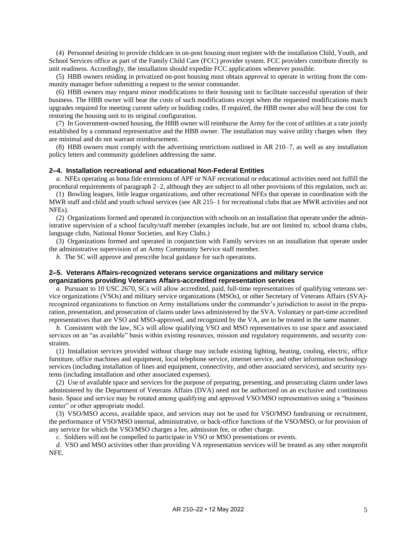(4) Personnel desiring to provide childcare in on-post housing must register with the installation Child, Youth, and School Services office as part of the Family Child Care (FCC) provider system. FCC providers contribute directly to unit readiness. Accordingly, the installation should expedite FCC applications whenever possible.

(5) HBB owners residing in privatized on-post housing must obtain approval to operate in writing from the community manager before submitting a request to the senior commander.

(6) HBB owners may request minor modifications to their housing unit to facilitate successful operation of their business. The HBB owner will bear the costs of such modifications except when the requested modifications match upgrades required for meeting current safety or building codes. If required, the HBB owner also will bear the cost for restoring the housing unit to its original configuration.

(7) In Government-owned housing, the HBB owner will reimburse the Army for the cost of utilities at a rate jointly established by a command representative and the HBB owner. The installation may waive utility charges when they are minimal and do not warrant reimbursement.

(8) HBB owners must comply with the advertising restrictions outlined in AR 210–7, as well as any installation policy letters and community guidelines addressing the same.

#### <span id="page-8-1"></span>**2–4. Installation recreational and educational Non-Federal Entities**

*a.* NFEs operating as bona fide extensions of APF or NAF recreational or educational activities need not fulfill the procedural requirements of [paragraph](#page-6-2) 2–2, although they are subject to all other provisions of this regulation, such as:

(1) Bowling leagues, little league organizations, and other recreational NFEs that operate in coordination with the MWR staff and child and youth school services (see AR 215–1 for recreational clubs that are MWR activities and not NFEs).

(2) Organizations formed and operated in conjunction with schools on an installation that operate under the administrative supervision of a school faculty/staff member (examples include, but are not limited to, school drama clubs, language clubs, National Honor Societies, and Key Clubs.)

(3) Organizations formed and operated in conjunction with Family services on an installation that operate under the administrative supervision of an Army Community Service staff member.

*b.* The SC will approve and prescribe local guidance for such operations.

#### <span id="page-8-0"></span>**2–5. Veterans Affairs-recognized veterans service organizations and military service organizations providing Veterans Affairs-accredited representation services**

*a.* Pursuant to 10 USC 2670, SCs will allow accredited, paid, full-time representatives of qualifying veterans service organizations (VSOs) and military service organizations (MSOs), or other Secretary of Veterans Affairs (SVA) recognized organizations to function on Army installations under the commander's jurisdiction to assist in the preparation, presentation, and prosecution of claims under laws administered by the SVA. Voluntary or part-time accredited representatives that are VSO and MSO-approved, and recognized by the VA, are to be treated in the same manner.

*b.* Consistent with the law, SCs will allow qualifying VSO and MSO representatives to use space and associated services on an "as available" basis within existing resources, mission and regulatory requirements, and security constraints.

(1) Installation services provided without charge may include existing lighting, heating, cooling, electric, office furniture, office machines and equipment, local telephone service, internet service, and other information technology services (including installation of lines and equipment, connectivity, and other associated services), and security systems (including installation and other associated expenses).

(2) Use of available space and services for the purpose of preparing, presenting, and prosecuting claims under laws administered by the Department of Veterans Affairs (DVA) need not be authorized on an exclusive and continuous basis. Space and service may be rotated among qualifying and approved VSO/MSO representatives using a "business center" or other appropriate model.

(3) VSO/MSO access, available space, and services may not be used for VSO/MSO fundraising or recruitment, the performance of VSO/MSO internal, administrative, or back-office functions of the VSO/MSO, or for provision of any service for which the VSO/MSO charges a fee, admission fee, or other charge.

*c.* Soldiers will not be compelled to participate in VSO or MSO presentations or events.

*d.* VSO and MSO activities other than providing VA representation services will be treated as any other nonprofit NFE.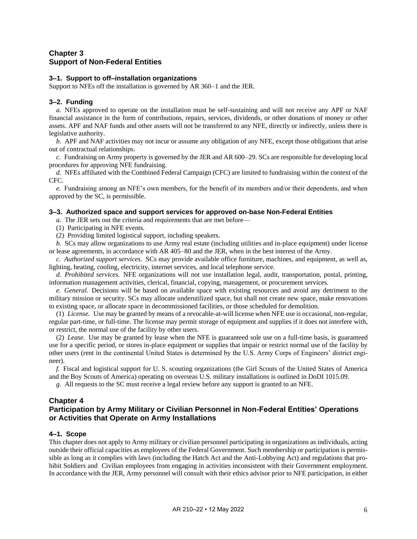# <span id="page-9-0"></span>**Chapter 3 Support of Non-Federal Entities**

#### <span id="page-9-1"></span>**3–1. Support to off–installation organizations**

<span id="page-9-2"></span>Support to NFEs off the installation is governed by AR 360–1 and the JER.

#### **3–2. Funding**

*a.* NFEs approved to operate on the installation must be self-sustaining and will not receive any APF or NAF financial assistance in the form of contributions, repairs, services, dividends, or other donations of money or other assets. APF and NAF funds and other assets will not be transferred to any NFE, directly or indirectly, unless there is legislative authority.

*b.* APF and NAF activities may not incur or assume any obligation of any NFE, except those obligations that arise out of contractual relationships.

<span id="page-9-7"></span>*c.* Fundraising on Army property is governed by the JER and AR 600–29. SCs are responsible for developing local procedures for approving NFE fundraising.

*d.* NFEs affiliated with the Combined Federal Campaign (CFC) are limited to fundraising within the context of the CFC.

*e.* Fundraising among an NFE's own members, for the benefit of its members and/or their dependents, and when approved by the SC, is permissible.

#### <span id="page-9-3"></span>**3–3. Authorized space and support services for approved on-base Non-Federal Entities**

*a.* The JER sets out the criteria and requirements that are met before—

(1) Participating in NFE events.

(2) Providing limited logistical support, including speakers.

<span id="page-9-6"></span>*b.* SCs may allow organizations to use Army real estate (including utilities and in-place equipment) under license or lease agreements, in accordance with AR 405–80 and the JER, when in the best interest of the Army.

*c. Authorized support services.* SCs may provide available office furniture, machines, and equipment, as well as, lighting, heating, cooling, electricity, internet services, and local telephone service.

*d. Prohibited services.* NFE organizations will not use installation legal, audit, transportation, postal, printing, information management activities, clerical, financial, copying, management, or procurement services.

*e. General.* Decisions will be based on available space with existing resources and avoid any detriment to the military mission or security. SCs may allocate underutilized space, but shall not create new space, make renovations to existing space, or allocate space in decommissioned facilities, or those scheduled for demolition.

(1) *License.* Use may be granted by means of a revocable-at-will license when NFE use is occasional, non-regular, regular part-time, or full-time. The license may permit storage of equipment and supplies if it does not interfere with, or restrict, the normal use of the facility by other users.

(2) *Lease.* Use may be granted by lease when the NFE is guaranteed sole use on a full-time basis, is guaranteed use for a specific period, or stores in-place equipment or supplies that impair or restrict normal use of the facility by other users (rent in the continental United States is determined by the U.S. Army Corps of Engineers' district engineer).

*f.* Fiscal and logistical support for U. S. scouting organizations (the Girl Scouts of the United States of America and the Boy Scouts of America) operating on overseas U.S. military installations is outlined in DoDI 1015.09.

*g.* All requests to the SC must receive a legal review before any support is granted to an NFE.

#### **Chapter 4**

# <span id="page-9-4"></span>**Participation by Army Military or Civilian Personnel in Non-Federal Entities' Operations or Activities that Operate on Army Installations**

#### <span id="page-9-5"></span>**4–1. Scope**

This chapter does not apply to Army military or civilian personnel participating in organizations as individuals, acting outside their official capacities as employees of the Federal Government. Such membership or participation is permissible as long as it complies with laws (including the Hatch Act and the Anti-Lobbying Act) and regulations that prohibit Soldiers and Civilian employees from engaging in activities inconsistent with their Government employment. In accordance with the JER, Army personnel will consult with their ethics advisor prior to NFE participation, in either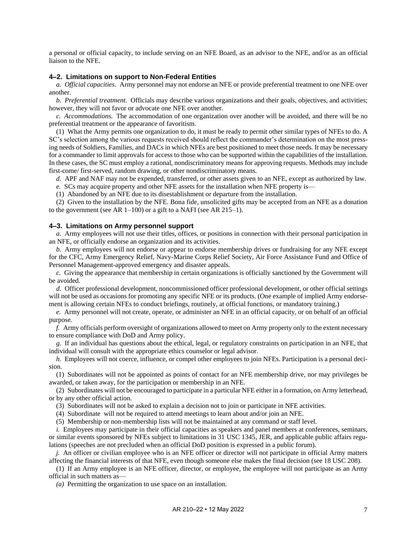a personal or official capacity, to include serving on an NFE Board, as an advisor to the NFE, and/or as an official liaison to the NFE.

#### <span id="page-10-0"></span>**4–2. Limitations on support to Non-Federal Entities**

*a. Official capacities.* Army personnel may not endorse an NFE or provide preferential treatment to one NFE over another.

*b. Preferential treatment.* Officials may describe various organizations and their goals, objectives, and activities; however, they will not favor or advocate one NFE over another.

*c. Accommodations.* The accommodation of one organization over another will be avoided, and there will be no preferential treatment or the appearance of favoritism.

(1) What the Army permits one organization to do, it must be ready to permit other similar types of NFEs to do. A SC's selection among the various requests received should reflect the commander's determination on the most pressing needs of Soldiers, Families, and DACs in which NFEs are best positioned to meet those needs. It may be necessary for a commander to limit approvals for access to those who can be supported within the capabilities of the installation. In these cases, the SC must employ a rational, nondiscriminatory means for approving requests. Methods may include first-come/ first-served, random drawing, or other nondiscriminatory means.

*d.* APF and NAF may not be expended, transferred, or other assets given to an NFE, except as authorized by law.

*e.* SCs may acquire property and other NFE assets for the installation when NFE property is—

(1) Abandoned by an NFE due to its disestablishment or departure from the installation.

<span id="page-10-2"></span>(2) Given to the installation by the NFE. Bona fide, unsolicited gifts may be accepted from an NFE as a donation to the government (see AR 1–100) or a gift to a NAFI (see AR 215–1).

#### <span id="page-10-1"></span>**4–3. Limitations on Army personnel support**

*a.* Army employees will not use their titles, offices, or positions in connection with their personal participation in an NFE, or officially endorse an organization and its activities.

*b.* Army employees will not endorse or appear to endorse membership drives or fundraising for any NFE except for the CFC, Army Emergency Relief, Navy-Marine Corps Relief Society, Air Force Assistance Fund and Office of Personnel Management-approved emergency and disaster appeals.

*c.* Giving the appearance that membership in certain organizations is officially sanctioned by the Government will be avoided.

*d.* Officer professional development, noncommissioned officer professional development, or other official settings will not be used as occasions for promoting any specific NFE or its products. (One example of implied Army endorsement is allowing certain NFEs to conduct briefings, routinely, at official functions, or mandatory training.)

*e.* Army personnel will not create, operate, or administer an NFE in an official capacity, or on behalf of an official purpose.

*f.* Army officials perform oversight of organizations allowed to meet on Army property only to the extent necessary to ensure compliance with DoD and Army policy.

*g.* If an individual has questions about the ethical, legal, or regulatory constraints on participation in an NFE, that individual will consult with the appropriate ethics counselor or legal advisor.

*h.* Employees will not coerce, influence, or compel other employees to join NFEs. Participation is a personal decision.

(1) Subordinates will not be appointed as points of contact for an NFE membership drive, nor may privileges be awarded, or taken away, for the participation or membership in an NFE.

(2) Subordinates will not be encouraged to participate in a particular NFE either in a formation, on Army letterhead, or by any other official action.

(3) Subordinates will not be asked to explain a decision not to join or participate in NFE activities.

(4) Subordinate will not be required to attend meetings to learn about and/or join an NFE.

(5) Membership or non-membership lists will not be maintained at any command or staff level.

*i.* Employees may participate in their official capacities as speakers and panel members at conferences, seminars, or similar events sponsored by NFEs subject to limitations in 31 USC 1345, JER, and applicable public affairs regulations (speeches are not precluded when an official DoD position is expressed in a public forum).

*j.* An officer or civilian employee who is an NFE officer or director will not participate in official Army matters affecting the financial interests of that NFE, even though someone else makes the final decision (see 18 USC 208).

(1) If an Army employee is an NFE officer, director, or employee, the employee will not participate as an Army official in such matters as—

*(a)* Permitting the organization to use space on an installation.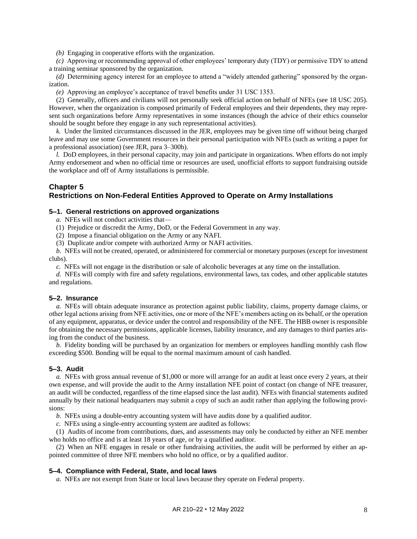*(b)* Engaging in cooperative efforts with the organization.

*(c)* Approving or recommending approval of other employees' temporary duty (TDY) or permissive TDY to attend a training seminar sponsored by the organization.

*(d)* Determining agency interest for an employee to attend a "widely attended gathering" sponsored by the organization.

*(e)* Approving an employee's acceptance of travel benefits under 31 USC 1353.

(2) Generally, officers and civilians will not personally seek official action on behalf of NFEs (see 18 USC 205). However, when the organization is composed primarily of Federal employees and their dependents, they may represent such organizations before Army representatives in some instances (though the advice of their ethics counselor should be sought before they engage in any such representational activities).

*k.* Under the limited circumstances discussed in the JER, employees may be given time off without being charged leave and may use some Government resources in their personal participation with NFEs (such as writing a paper for a professional association) (see JER, para 3–300b).

*l.* DoD employees, in their personal capacity, may join and participate in organizations. When efforts do not imply Army endorsement and when no official time or resources are used, unofficial efforts to support fundraising outside the workplace and off of Army installations is permissible.

# <span id="page-11-0"></span>**Chapter 5 Restrictions on Non-Federal Entities Approved to Operate on Army Installations**

#### <span id="page-11-1"></span>**5–1. General restrictions on approved organizations**

*a.* NFEs will not conduct activities that—

(1) Prejudice or discredit the Army, DoD, or the Federal Government in any way.

(2) Impose a financial obligation on the Army or any NAFI.

(3) Duplicate and/or compete with authorized Army or NAFI activities.

*b.* NFEs will not be created, operated, or administered for commercial or monetary purposes (except for investment clubs).

*c.* NFEs will not engage in the distribution or sale of alcoholic beverages at any time on the installation.

*d.* NFEs will comply with fire and safety regulations, environmental laws, tax codes, and other applicable statutes and regulations.

#### <span id="page-11-2"></span>**5–2. Insurance**

*a.* NFEs will obtain adequate insurance as protection against public liability, claims, property damage claims, or other legal actions arising from NFE activities, one or more of the NFE's members acting on its behalf, or the operation of any equipment, apparatus, or device under the control and responsibility of the NFE. The HBB owner is responsible for obtaining the necessary permissions, applicable licenses, liability insurance, and any damages to third parties arising from the conduct of the business.

*b.* Fidelity bonding will be purchased by an organization for members or employees handling monthly cash flow exceeding \$500. Bonding will be equal to the normal maximum amount of cash handled.

# <span id="page-11-3"></span>**5–3. Audit**

*a.* NFEs with gross annual revenue of \$1,000 or more will arrange for an audit at least once every 2 years, at their own expense, and will provide the audit to the Army installation NFE point of contact (on change of NFE treasurer, an audit will be conducted, regardless of the time elapsed since the last audit). NFEs with financial statements audited annually by their national headquarters may submit a copy of such an audit rather than applying the following provisions:

*b.* NFEs using a double-entry accounting system will have audits done by a qualified auditor.

*c.* NFEs using a single-entry accounting system are audited as follows:

(1) Audits of income from contributions, dues, and assessments may only be conducted by either an NFE member who holds no office and is at least 18 years of age, or by a qualified auditor.

(2) When an NFE engages in resale or other fundraising activities, the audit will be performed by either an appointed committee of three NFE members who hold no office, or by a qualified auditor.

#### <span id="page-11-4"></span>**5–4. Compliance with Federal, State, and local laws**

*a.* NFEs are not exempt from State or local laws because they operate on Federal property.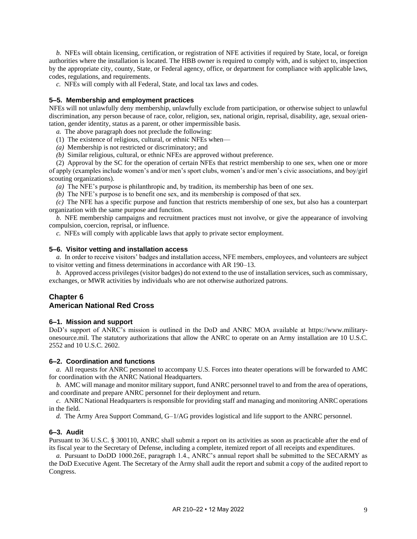*b.* NFEs will obtain licensing, certification, or registration of NFE activities if required by State, local, or foreign authorities where the installation is located. The HBB owner is required to comply with, and is subject to, inspection by the appropriate city, county, State, or Federal agency, office, or department for compliance with applicable laws, codes, regulations, and requirements.

*c.* NFEs will comply with all Federal, State, and local tax laws and codes.

#### <span id="page-12-0"></span>**5–5. Membership and employment practices**

NFEs will not unlawfully deny membership, unlawfully exclude from participation, or otherwise subject to unlawful discrimination, any person because of race, color, religion, sex, national origin, reprisal, disability, age, sexual orientation, gender identity, status as a parent, or other impermissible basis.

*a.* The above paragraph does not preclude the following:

(1) The existence of religious, cultural, or ethnic NFEs when—

- *(a)* Membership is not restricted or discriminatory; and
- *(b)* Similar religious, cultural, or ethnic NFEs are approved without preference.

(2) Approval by the SC for the operation of certain NFEs that restrict membership to one sex, when one or more of apply (examples include women's and/or men's sport clubs, women's and/or men's civic associations, and boy/girl scouting organizations).

*(a)* The NFE's purpose is philanthropic and, by tradition, its membership has been of one sex.

*(b)* The NFE's purpose is to benefit one sex, and its membership is composed of that sex.

*(c)* The NFE has a specific purpose and function that restricts membership of one sex, but also has a counterpart organization with the same purpose and function.

*b.* NFE membership campaigns and recruitment practices must not involve, or give the appearance of involving compulsion, coercion, reprisal, or influence.

*c.* NFEs will comply with applicable laws that apply to private sector employment.

#### <span id="page-12-1"></span>**5–6. Visitor vetting and installation access**

<span id="page-12-6"></span>*a.* In order to receive visitors' badges and installation access, NFE members, employees, and volunteers are subject to visitor vetting and fitness determinations in accordance with AR 190–13.

*b.* Approved access privileges (visitor badges) do not extend to the use of installation services, such as commissary, exchanges, or MWR activities by individuals who are not otherwise authorized patrons.

# <span id="page-12-2"></span>**Chapter 6 American National Red Cross**

#### <span id="page-12-3"></span>**6–1. Mission and support**

DoD's support of ANRC's mission is outlined in the DoD and ANRC MOA available at [https://www.military](https://www.militaryonesource.mil/)[onesource.mil.](https://www.militaryonesource.mil/) The statutory authorizations that allow the ANRC to operate on an Army installation are 10 U.S.C. 2552 and 10 U.S.C. 2602.

#### <span id="page-12-4"></span>**6–2. Coordination and functions**

*a.* All requests for ANRC personnel to accompany U.S. Forces into theater operations will be forwarded to AMC for coordination with the ANRC National Headquarters.

*b.* AMC will manage and monitor military support, fund ANRC personnel travel to and from the area of operations, and coordinate and prepare ANRC personnel for their deployment and return.

*c.* ANRC National Headquarters is responsible for providing staff and managing and monitoring ANRC operations in the field.

*d.* The Army Area Support Command, G–1/AG provides logistical and life support to the ANRC personnel.

#### <span id="page-12-5"></span>**6–3. Audit**

Pursuant to 36 U.S.C. § 300110, ANRC shall submit a report on its activities as soon as practicable after the end of its fiscal year to the Secretary of Defense, including a complete, itemized report of all receipts and expenditures.

*a.* Pursuant to DoDD 1000.26E, paragraph 1.4., ANRC's annual report shall be submitted to the SECARMY as the DoD Executive Agent. The Secretary of the Army shall audit the report and submit a copy of the audited report to Congress.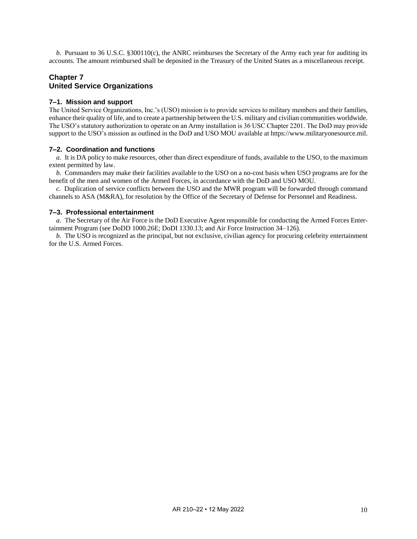*b.* Pursuant to 36 U.S.C. §300110(c), the ANRC reimburses the Secretary of the Army each year for auditing its accounts. The amount reimbursed shall be deposited in the Treasury of the United States as a miscellaneous receipt.

# <span id="page-13-0"></span>**Chapter 7 United Service Organizations**

#### <span id="page-13-1"></span>**7–1. Mission and support**

The United Service Organizations, Inc.'s (USO) mission is to provide services to military members and their families, enhance their quality of life, and to create a partnership between the U.S. military and civilian communities worldwide. The USO's statutory authorization to operate on an Army installation is 36 USC Chapter 2201. The DoD may provide support to the USO's mission as outlined in the DoD and USO MOU available a[t https://www.militaryonesource.mil.](https://www.militaryonesource.mil/)

#### <span id="page-13-2"></span>**7–2. Coordination and functions**

*a.* It is DA policy to make resources, other than direct expenditure of funds, available to the USO, to the maximum extent permitted by law.

*b.* Commanders may make their facilities available to the USO on a no-cost basis when USO programs are for the benefit of the men and women of the Armed Forces, in accordance with the DoD and USO MOU.

*c.* Duplication of service conflicts between the USO and the MWR program will be forwarded through command channels to ASA (M&RA), for resolution by the Office of the Secretary of Defense for Personnel and Readiness.

#### <span id="page-13-3"></span>**7–3. Professional entertainment**

<span id="page-13-4"></span>*a.* The Secretary of the Air Force is the DoD Executive Agent responsible for conducting the Armed Forces Entertainment Program (see DoDD 1000.26E; DoDI 1330.13; and Air Force Instruction 34–126).

*b.* The USO is recognized as the principal, but not exclusive, civilian agency for procuring celebrity entertainment for the U.S. Armed Forces.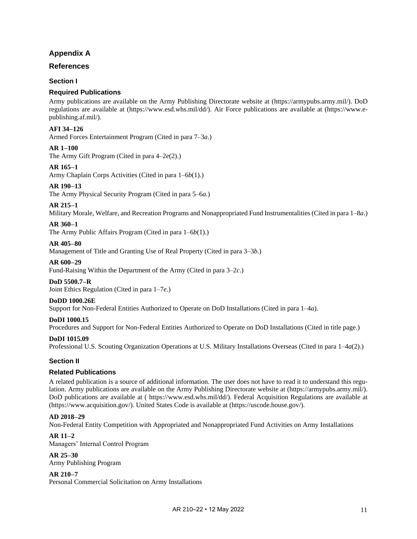# **Appendix A**

# <span id="page-14-0"></span>**References**

#### **Section I**

#### **Required Publications**

Army publications are available on the Army Publishing Directorate website at [\(https://armypubs.army.mil/\)](https://armypubs.army.mil/). DoD regulations are available at [\(https://www.esd.whs.mil/dd/\)](https://www.esd.whs.mil/dd/). Air Force publications are available at [\(https://www.e](https://www.e-publishing.af.mil/)[publishing.af.mil/\)](https://www.e-publishing.af.mil/).

#### **AFI 34–126**

Armed Forces Entertainment Program (Cited in [para 7–3](#page-13-4)*a*.)

#### **AR 1–100**

The Army Gift Program (Cited in [para 4–2](#page-10-2)*e*(2).)

#### **AR 165–1**

Army Chaplain Corps Activities (Cited in [para 1–6](#page-5-4)*b*(1).)

#### **AR 190–13**

The Army Physical Security Program (Cited in [para 5–6](#page-12-6)*a.*)

#### **AR 215–1**

Military Morale, Welfare, and Recreation Programs and Nonappropriated Fund Instrumentalities (Cited in [para 1–8](#page-5-5)*a*.)

#### **AR 360–1**

The Army Public Affairs Program (Cited in [para 1–6](#page-5-4)*b*(1).)

#### **AR 405–80**

Management of Title and Granting Use of Real Property (Cited in [para 3–3](#page-9-6)*b*.)

#### **AR 600–29**

Fund-Raising Within the Department of the Army (Cited in [para 3–2](#page-9-7)*c*.)

#### **DoD 5500.7–R**

Joint Ethics Regulation (Cited i[n para 1–7](#page-5-6)*e*.)

#### **DoDD 1000.26E**

Support for Non-Federal Entities Authorized to Operate on DoD Installations (Cited in [para 1–4](#page-4-5)*a*).

#### **DoDI 1000.15**

Procedures and Support for Non-Federal Entities Authorized to Operate on DoD Installations (Cited in title page.)

#### **DoDI 1015.09**

Professional U.S. Scouting Organization Operations at U.S. Military Installations Overseas (Cited in [para 1–4](#page-4-6)*a*(2).)

#### **Section II**

#### **Related Publications**

A related publication is a source of additional information. The user does not have to read it to understand this regulation. Army publications are available on the Army Publishing Directorate website at [\(https://armypubs.army.mil/\)](https://armypubs.army.mil/). DoD publications are available at ( [https://www.esd.whs.mil/dd/\)](https://www.esd.whs.mil/dd/). Federal Acquisition Regulations are available at [\(https://www.acquisition.gov/\)](https://www.acquisition.gov/). United States Code is available at [\(https://uscode.house.gov/\)](https://uscode.house.gov/).

#### **AD 2018–29**

Non-Federal Entity Competition with Appropriated and Nonappropriated Fund Activities on Army Installations

#### **AR 11–2**

Managers' Internal Control Program

# **AR 25–30**

Army Publishing Program

#### **AR 210–7**

Personal Commercial Solicitation on Army Installations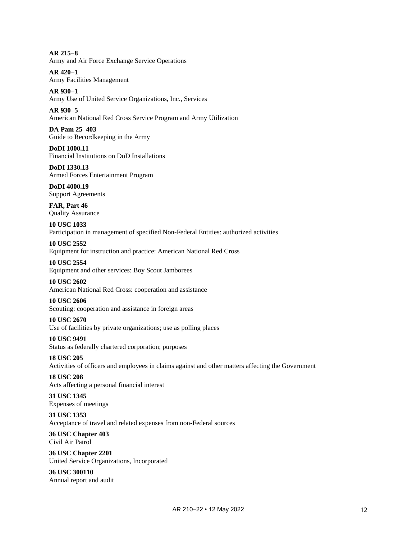**AR 215–8** Army and Air Force Exchange Service Operations

**AR 420–1** Army Facilities Management

**AR 930–1** Army Use of United Service Organizations, Inc., Services

**AR 930–5** American National Red Cross Service Program and Army Utilization

**DA Pam 25–403** Guide to Recordkeeping in the Army

**DoDI 1000.11** Financial Institutions on DoD Installations **DoDI 1330.13**

Armed Forces Entertainment Program

**DoDI 4000.19** Support Agreements

**FAR, Part 46** Quality Assurance

**10 USC 1033** Participation in management of specified Non-Federal Entities: authorized activities

**10 USC 2552** Equipment for instruction and practice: American National Red Cross

**10 USC 2554** Equipment and other services: Boy Scout Jamborees

**10 USC 2602** American National Red Cross: cooperation and assistance

**10 USC 2606** Scouting: cooperation and assistance in foreign areas

**10 USC 2670** Use of facilities by private organizations; use as polling places

**10 USC 9491** Status as federally chartered corporation; purposes

**18 USC 205** Activities of officers and employees in claims against and other matters affecting the Government

**18 USC 208** Acts affecting a personal financial interest

**31 USC 1345** Expenses of meetings

**31 USC 1353** Acceptance of travel and related expenses from non-Federal sources

**36 USC Chapter 403** Civil Air Patrol

**36 USC Chapter 2201** United Service Organizations, Incorporated

**36 USC 300110** Annual report and audit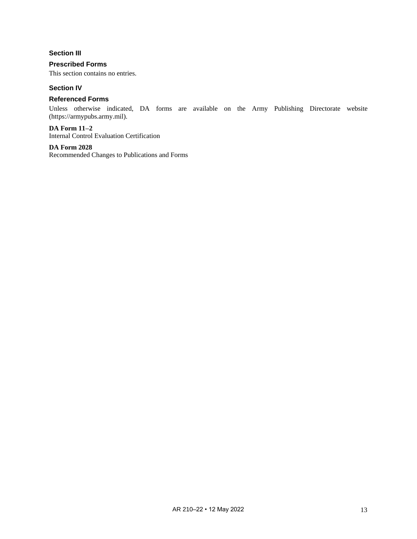# **Section III**

# **Prescribed Forms**

This section contains no entries.

# **Section IV**

# **Referenced Forms**

Unless otherwise indicated, DA forms are available on the Army Publishing Directorate website [\(https://armypubs.army.mil\)](https://armypubs.army.mil/).

**DA Form 11–2** Internal Control Evaluation Certification

**DA Form 2028** Recommended Changes to Publications and Forms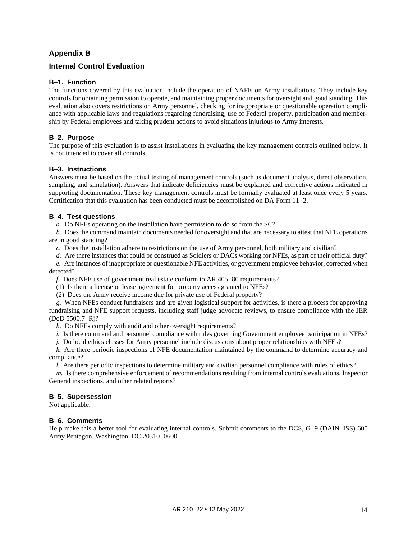# **Appendix B**

# <span id="page-17-0"></span>**Internal Control Evaluation**

#### **B–1. Function**

The functions covered by this evaluation include the operation of NAFIs on Army installations. They include key controls for obtaining permission to operate, and maintaining proper documents for oversight and good standing. This evaluation also covers restrictions on Army personnel, checking for inappropriate or questionable operation compliance with applicable laws and regulations regarding fundraising, use of Federal property, participation and membership by Federal employees and taking prudent actions to avoid situations injurious to Army interests.

#### **B–2. Purpose**

The purpose of this evaluation is to assist installations in evaluating the key management controls outlined below. It is not intended to cover all controls.

#### **B–3. Instructions**

Answers must be based on the actual testing of management controls (such as document analysis, direct observation, sampling, and simulation). Answers that indicate deficiencies must be explained and corrective actions indicated in supporting documentation. These key management controls must be formally evaluated at least once every 5 years. Certification that this evaluation has been conducted must be accomplished on DA Form 11–2.

#### **B–4. Test questions**

*a.* Do NFEs operating on the installation have permission to do so from the SC?

*b.* Does the command maintain documents needed for oversight and that are necessary to attest that NFE operations are in good standing?

*c.* Does the installation adhere to restrictions on the use of Army personnel, both military and civilian?

*d.* Are there instances that could be construed as Soldiers or DACs working for NFEs, as part of their official duty?

*e.* Are instances of inappropriate or questionable NFE activities, or government employee behavior, corrected when detected?

*f.* Does NFE use of government real estate conform to AR 405–80 requirements?

(1) Is there a license or lease agreement for property access granted to NFEs?

(2) Does the Army receive income due for private use of Federal property?

*g.* When NFEs conduct fundraisers and are given logistical support for activities, is there a process for approving fundraising and NFE support requests, including staff judge advocate reviews, to ensure compliance with the JER (DoD 5500.7–R)?

*h.* Do NFEs comply with audit and other oversight requirements?

*i.* Is there command and personnel compliance with rules governing Government employee participation in NFEs?

*j.* Do local ethics classes for Army personnel include discussions about proper relationships with NFEs?

*k.* Are there periodic inspections of NFE documentation maintained by the command to determine accuracy and compliance?

*l.* Are there periodic inspections to determine military and civilian personnel compliance with rules of ethics?

*m.* Is there comprehensive enforcement of recommendations resulting from internal controls evaluations, Inspector General inspections, and other related reports?

#### **B–5. Supersession**

Not applicable.

#### **B–6. Comments**

Help make this a better tool for evaluating internal controls. Submit comments to the DCS, G–9 (DAIN–ISS) 600 Army Pentagon, Washington, DC 20310–0600.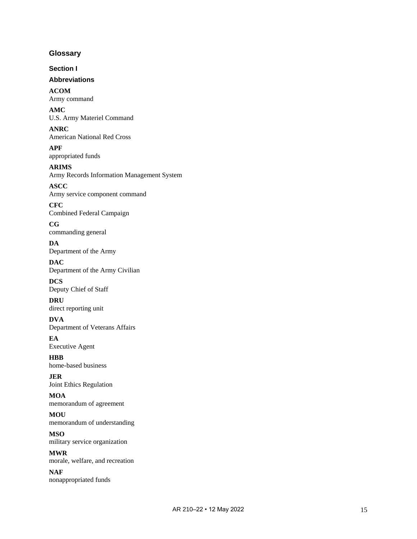#### <span id="page-18-0"></span>**Glossary**

**Section I**

# **Abbreviations**

**ACOM** Army command

**AMC** U.S. Army Materiel Command

**ANRC** American National Red Cross

**APF** appropriated funds

**ARIMS** Army Records Information Management System

**ASCC** Army service component command

**CFC** Combined Federal Campaign

**CG** commanding general

**DA** Department of the Army

**DAC** Department of the Army Civilian

**DCS** Deputy Chief of Staff

**DRU** direct reporting unit

**DVA** Department of Veterans Affairs

**EA** Executive Agent

**HBB** home-based business

**JER** Joint Ethics Regulation

**MOA** memorandum of agreement **MOU**

memorandum of understanding

**MSO** military service organization

**MWR** morale, welfare, and recreation

**NAF** nonappropriated funds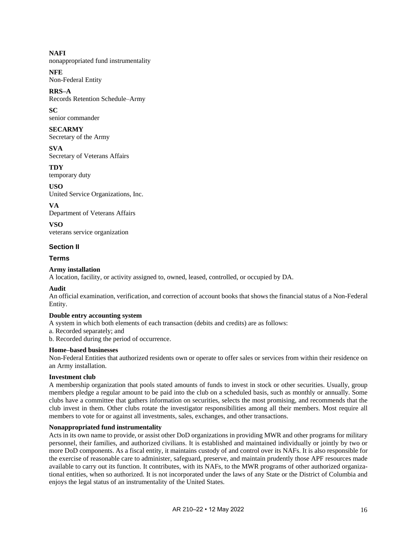#### **NAFI**

nonappropriated fund instrumentality

**NFE** Non-Federal Entity

# **RRS–A**

Records Retention Schedule–Army

# **SC**

senior commander

# **SECARMY**

Secretary of the Army

# **SVA**

Secretary of Veterans Affairs

**TDY**

temporary duty

**USO**

United Service Organizations, Inc.

**VA**

Department of Veterans Affairs

**VSO** veterans service organization

# **Section II**

#### **Terms**

#### **Army installation**

A location, facility, or activity assigned to, owned, leased, controlled, or occupied by DA.

#### **Audit**

An official examination, verification, and correction of account books that shows the financial status of a Non-Federal Entity.

#### **Double entry accounting system**

A system in which both elements of each transaction (debits and credits) are as follows:

- a. Recorded separately; and
- b. Recorded during the period of occurrence.

#### **Home–based businesses**

Non-Federal Entities that authorized residents own or operate to offer sales or services from within their residence on an Army installation.

#### **Investment club**

A membership organization that pools stated amounts of funds to invest in stock or other securities. Usually, group members pledge a regular amount to be paid into the club on a scheduled basis, such as monthly or annually. Some clubs have a committee that gathers information on securities, selects the most promising, and recommends that the club invest in them. Other clubs rotate the investigator responsibilities among all their members. Most require all members to vote for or against all investments, sales, exchanges, and other transactions.

#### **Nonappropriated fund instrumentality**

Acts in its own name to provide, or assist other DoD organizations in providing MWR and other programs for military personnel, their families, and authorized civilians. It is established and maintained individually or jointly by two or more DoD components. As a fiscal entity, it maintains custody of and control over its NAFs. It is also responsible for the exercise of reasonable care to administer, safeguard, preserve, and maintain prudently those APF resources made available to carry out its function. It contributes, with its NAFs, to the MWR programs of other authorized organizational entities, when so authorized. It is not incorporated under the laws of any State or the District of Columbia and enjoys the legal status of an instrumentality of the United States.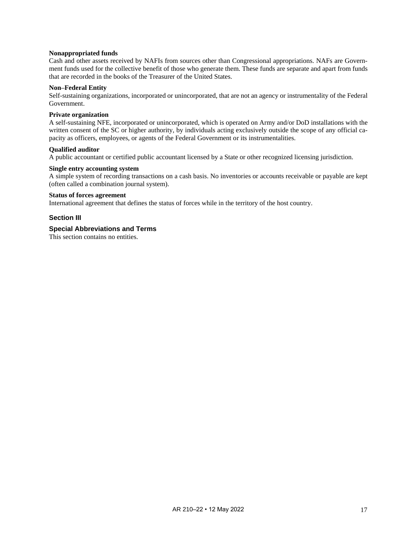#### **Nonappropriated funds**

Cash and other assets received by NAFIs from sources other than Congressional appropriations. NAFs are Government funds used for the collective benefit of those who generate them. These funds are separate and apart from funds that are recorded in the books of the Treasurer of the United States.

#### **Non–Federal Entity**

Self-sustaining organizations, incorporated or unincorporated, that are not an agency or instrumentality of the Federal Government.

#### **Private organization**

A self-sustaining NFE, incorporated or unincorporated, which is operated on Army and/or DoD installations with the written consent of the SC or higher authority, by individuals acting exclusively outside the scope of any official capacity as officers, employees, or agents of the Federal Government or its instrumentalities.

#### **Qualified auditor**

A public accountant or certified public accountant licensed by a State or other recognized licensing jurisdiction.

#### **Single entry accounting system**

A simple system of recording transactions on a cash basis. No inventories or accounts receivable or payable are kept (often called a combination journal system).

#### **Status of forces agreement**

International agreement that defines the status of forces while in the territory of the host country.

#### **Section III**

#### **Special Abbreviations and Terms**

This section contains no entities.